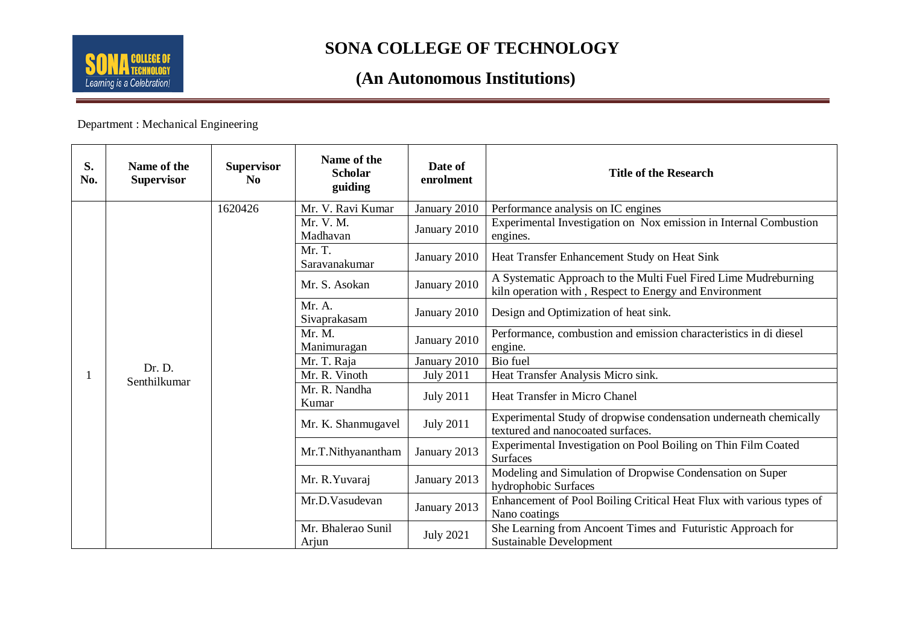

#### **(An Autonomous Institutions)**

Department : Mechanical Engineering

| S.<br>No. | Name of the<br><b>Supervisor</b> | <b>Supervisor</b><br>$\bf No$ | Name of the<br><b>Scholar</b><br>guiding | Date of<br>enrolment | <b>Title of the Research</b>                                                                                              |
|-----------|----------------------------------|-------------------------------|------------------------------------------|----------------------|---------------------------------------------------------------------------------------------------------------------------|
|           | Dr. D.<br>Senthilkumar           | 1620426                       | Mr. V. Ravi Kumar                        | January 2010         | Performance analysis on IC engines                                                                                        |
|           |                                  |                               | Mr. V. M.<br>Madhavan                    | January 2010         | Experimental Investigation on Nox emission in Internal Combustion<br>engines.                                             |
|           |                                  |                               | Mr. T.<br>Saravanakumar                  | January 2010         | Heat Transfer Enhancement Study on Heat Sink                                                                              |
|           |                                  |                               | Mr. S. Asokan                            | January 2010         | A Systematic Approach to the Multi Fuel Fired Lime Mudreburning<br>kiln operation with, Respect to Energy and Environment |
|           |                                  |                               | Mr. A.<br>Sivaprakasam                   | January 2010         | Design and Optimization of heat sink.                                                                                     |
|           |                                  |                               | Mr. M.<br>Manimuragan                    | January 2010         | Performance, combustion and emission characteristics in di diesel<br>engine.                                              |
|           |                                  |                               | Mr. T. Raja                              | January 2010         | Bio fuel                                                                                                                  |
|           |                                  |                               | Mr. R. Vinoth                            | <b>July 2011</b>     | Heat Transfer Analysis Micro sink.                                                                                        |
|           |                                  |                               | Mr. R. Nandha<br>Kumar                   | <b>July 2011</b>     | Heat Transfer in Micro Chanel                                                                                             |
|           |                                  |                               | Mr. K. Shanmugavel                       | <b>July 2011</b>     | Experimental Study of dropwise condensation underneath chemically<br>textured and nanocoated surfaces.                    |
|           |                                  |                               | Mr.T.Nithyanantham                       | January 2013         | Experimental Investigation on Pool Boiling on Thin Film Coated<br><b>Surfaces</b>                                         |
|           |                                  |                               | Mr. R. Yuvaraj                           | January 2013         | Modeling and Simulation of Dropwise Condensation on Super<br>hydrophobic Surfaces                                         |
|           |                                  |                               | Mr.D.Vasudevan                           | January 2013         | Enhancement of Pool Boiling Critical Heat Flux with various types of<br>Nano coatings                                     |
|           |                                  |                               | Mr. Bhalerao Sunil<br>Arjun              | <b>July 2021</b>     | She Learning from Ancoent Times and Futuristic Approach for<br><b>Sustainable Development</b>                             |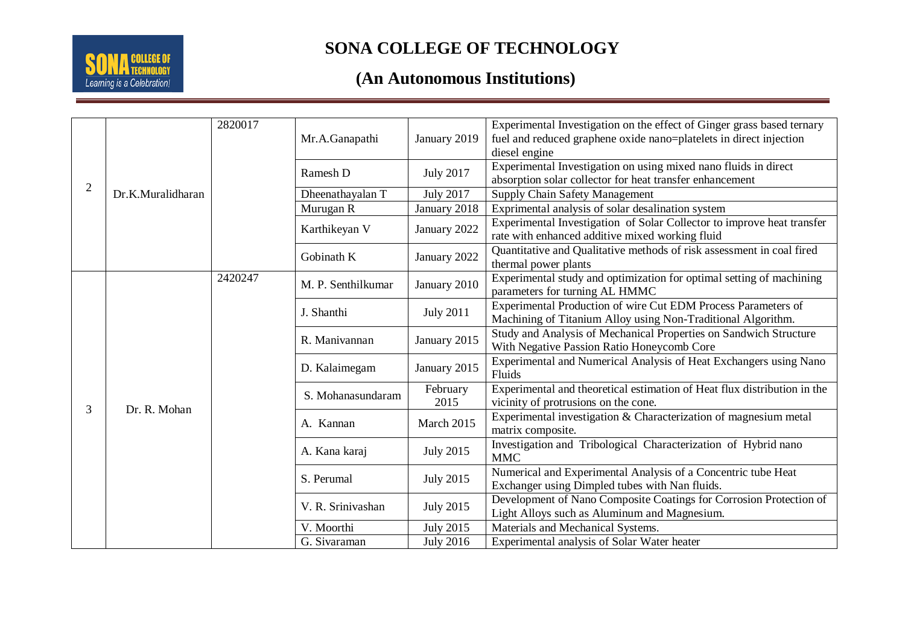

# **(An Autonomous Institutions)**

| 2 | Dr.K.Muralidharan | 2820017 | Mr.A.Ganapathi     | January 2019     | Experimental Investigation on the effect of Ginger grass based ternary<br>fuel and reduced graphene oxide nano=platelets in direct injection<br>diesel engine |
|---|-------------------|---------|--------------------|------------------|---------------------------------------------------------------------------------------------------------------------------------------------------------------|
|   |                   |         | Ramesh D           | <b>July 2017</b> | Experimental Investigation on using mixed nano fluids in direct<br>absorption solar collector for heat transfer enhancement                                   |
|   |                   |         | Dheenathayalan T   | <b>July 2017</b> | Supply Chain Safety Management                                                                                                                                |
|   |                   |         | Murugan R          | January 2018     | Exprimental analysis of solar desalination system                                                                                                             |
|   |                   |         | Karthikeyan V      | January 2022     | Experimental Investigation of Solar Collector to improve heat transfer<br>rate with enhanced additive mixed working fluid                                     |
|   |                   |         | Gobinath K         | January 2022     | Quantitative and Qualitative methods of risk assessment in coal fired<br>thermal power plants                                                                 |
|   | Dr. R. Mohan      | 2420247 | M. P. Senthilkumar | January 2010     | Experimental study and optimization for optimal setting of machining<br>parameters for turning AL HMMC                                                        |
|   |                   |         | J. Shanthi         | <b>July 2011</b> | Experimental Production of wire Cut EDM Process Parameters of<br>Machining of Titanium Alloy using Non-Traditional Algorithm.                                 |
|   |                   |         | R. Manivannan      | January 2015     | Study and Analysis of Mechanical Properties on Sandwich Structure<br>With Negative Passion Ratio Honeycomb Core                                               |
|   |                   |         | D. Kalaimegam      | January 2015     | Experimental and Numerical Analysis of Heat Exchangers using Nano<br>Fluids                                                                                   |
|   |                   |         | S. Mohanasundaram  | February         | Experimental and theoretical estimation of Heat flux distribution in the                                                                                      |
| 3 |                   |         |                    | 2015             | vicinity of protrusions on the cone.                                                                                                                          |
|   |                   |         | A. Kannan          | March 2015       | Experimental investigation & Characterization of magnesium metal<br>matrix composite.                                                                         |
|   |                   |         | A. Kana karaj      | <b>July 2015</b> | Investigation and Tribological Characterization of Hybrid nano<br><b>MMC</b>                                                                                  |
|   |                   |         | S. Perumal         | <b>July 2015</b> | Numerical and Experimental Analysis of a Concentric tube Heat<br>Exchanger using Dimpled tubes with Nan fluids.                                               |
|   |                   |         | V. R. Srinivashan  | <b>July 2015</b> | Development of Nano Composite Coatings for Corrosion Protection of<br>Light Alloys such as Aluminum and Magnesium.                                            |
|   |                   |         | V. Moorthi         | <b>July 2015</b> | Materials and Mechanical Systems.                                                                                                                             |
|   |                   |         | G. Sivaraman       | <b>July 2016</b> | Experimental analysis of Solar Water heater                                                                                                                   |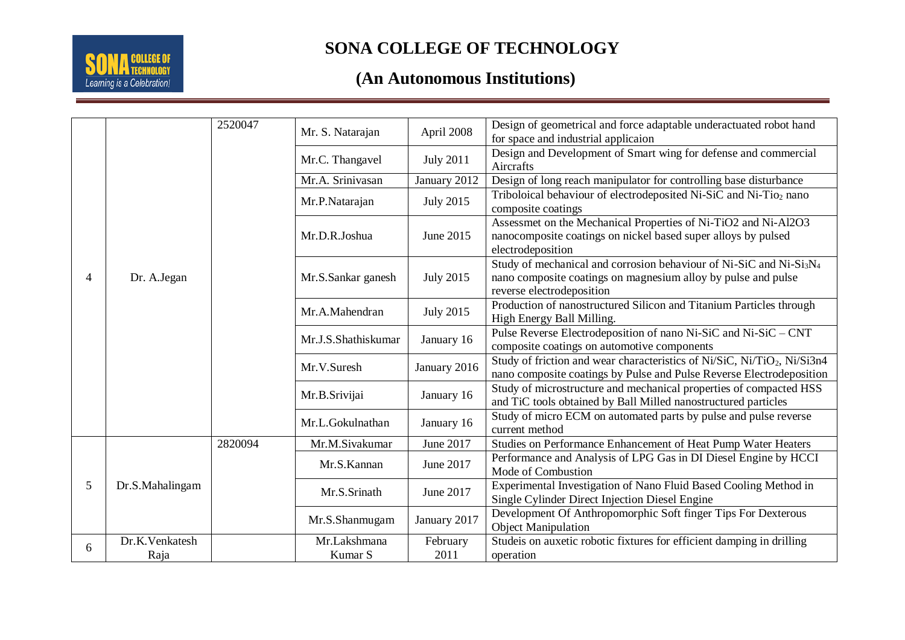

# **(An Autonomous Institutions)**

| $\overline{4}$ | Dr. A.Jegan     | 2520047 | Mr. S. Natarajan    | April 2008       | Design of geometrical and force adaptable underactuated robot hand<br>for space and industrial applicaion                                                                                 |
|----------------|-----------------|---------|---------------------|------------------|-------------------------------------------------------------------------------------------------------------------------------------------------------------------------------------------|
|                |                 |         | Mr.C. Thangavel     | <b>July 2011</b> | Design and Development of Smart wing for defense and commercial<br>Aircrafts                                                                                                              |
|                |                 |         | Mr.A. Srinivasan    | January 2012     | Design of long reach manipulator for controlling base disturbance                                                                                                                         |
|                |                 |         | Mr.P.Natarajan      | <b>July 2015</b> | Triboloical behaviour of electrodeposited Ni-SiC and Ni-Tio <sub>2</sub> nano<br>composite coatings                                                                                       |
|                |                 |         | Mr.D.R.Joshua       | June 2015        | Assessmet on the Mechanical Properties of Ni-TiO2 and Ni-Al2O3<br>nanocomposite coatings on nickel based super alloys by pulsed<br>electrodeposition                                      |
|                |                 |         | Mr.S.Sankar ganesh  | <b>July 2015</b> | Study of mechanical and corrosion behaviour of Ni-SiC and Ni-Si <sub>3</sub> N <sub>4</sub><br>nano composite coatings on magnesium alloy by pulse and pulse<br>reverse electrodeposition |
|                |                 |         | Mr.A.Mahendran      | <b>July 2015</b> | Production of nanostructured Silicon and Titanium Particles through<br>High Energy Ball Milling.                                                                                          |
|                |                 |         | Mr.J.S.Shathiskumar | January 16       | Pulse Reverse Electrodeposition of nano Ni-SiC and Ni-SiC – CNT<br>composite coatings on automotive components                                                                            |
|                |                 |         | Mr.V.Suresh         | January 2016     | Study of friction and wear characteristics of Ni/SiC, Ni/TiO <sub>2</sub> , Ni/Si3n4<br>nano composite coatings by Pulse and Pulse Reverse Electrodeposition                              |
|                |                 |         | Mr.B.Srivijai       | January 16       | Study of microstructure and mechanical properties of compacted HSS<br>and TiC tools obtained by Ball Milled nanostructured particles                                                      |
|                |                 |         | Mr.L.Gokulnathan    | January 16       | Study of micro ECM on automated parts by pulse and pulse reverse<br>current method                                                                                                        |
|                | Dr.S.Mahalingam | 2820094 | Mr.M.Sivakumar      | June 2017        | Studies on Performance Enhancement of Heat Pump Water Heaters                                                                                                                             |
| 5              |                 |         | Mr.S.Kannan         | June 2017        | Performance and Analysis of LPG Gas in DI Diesel Engine by HCCI<br>Mode of Combustion                                                                                                     |
|                |                 |         | Mr.S.Srinath        | June 2017        | Experimental Investigation of Nano Fluid Based Cooling Method in<br>Single Cylinder Direct Injection Diesel Engine                                                                        |
|                |                 |         | Mr.S.Shanmugam      | January 2017     | Development Of Anthropomorphic Soft finger Tips For Dexterous<br><b>Object Manipulation</b>                                                                                               |
| 6              | Dr.K.Venkatesh  |         | Mr.Lakshmana        | February         | Studeis on auxetic robotic fixtures for efficient damping in drilling                                                                                                                     |
|                | Raja            |         | Kumar S             | 2011             | operation                                                                                                                                                                                 |